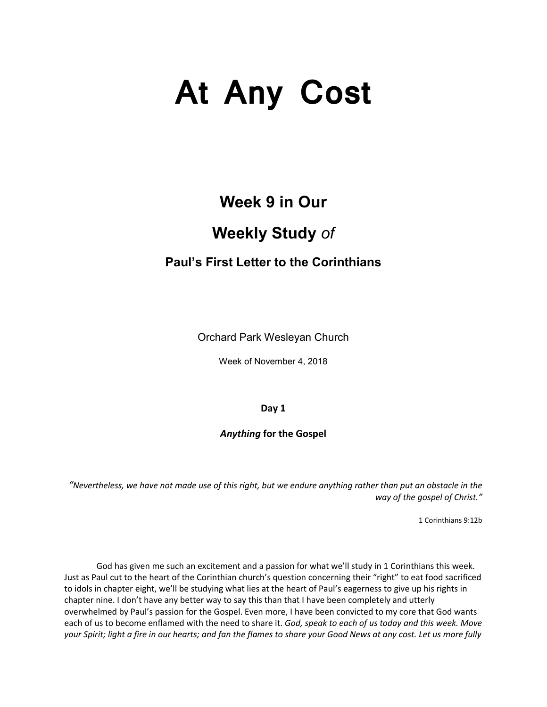# **At Any Cost**

## **Week 9 in Our**

## **Weekly Study** *of*

### **Paul's First Letter to the Corinthians**

Orchard Park Wesleyan Church

Week of November 4, 2018

**Day 1**

*Anything* **for the Gospel**

*"Nevertheless, we have not made use of this right, but we endure anything rather than put an obstacle in the way of the gospel of Christ."*

1 Corinthians 9:12b

God has given me such an excitement and a passion for what we'll study in 1 Corinthians this week. Just as Paul cut to the heart of the Corinthian church's question concerning their "right" to eat food sacrificed to idols in chapter eight, we'll be studying what lies at the heart of Paul's eagerness to give up his rights in chapter nine. I don't have any better way to say this than that I have been completely and utterly overwhelmed by Paul's passion for the Gospel. Even more, I have been convicted to my core that God wants each of us to become enflamed with the need to share it. *God, speak to each of us today and this week. Move your Spirit; light a fire in our hearts; and fan the flames to share your Good News at any cost. Let us more fully*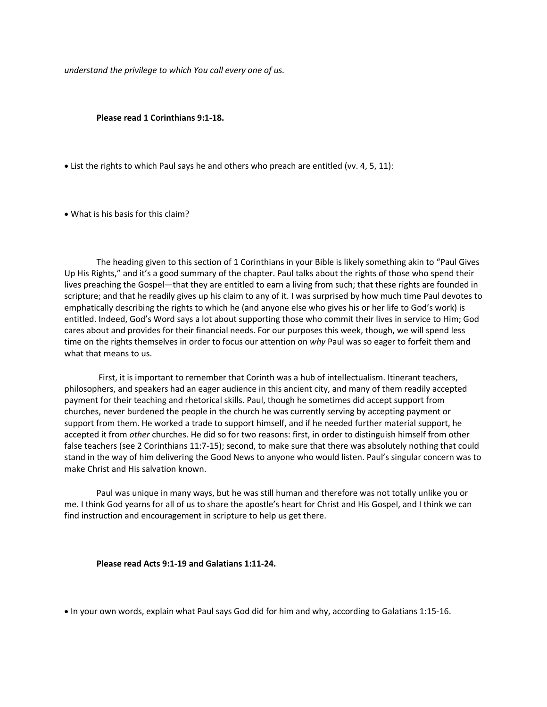*understand the privilege to which You call every one of us.*

#### **Please read 1 Corinthians 9:1-18.**

• List the rights to which Paul says he and others who preach are entitled (vv. 4, 5, 11):

• What is his basis for this claim?

The heading given to this section of 1 Corinthians in your Bible is likely something akin to "Paul Gives Up His Rights," and it's a good summary of the chapter. Paul talks about the rights of those who spend their lives preaching the Gospel—that they are entitled to earn a living from such; that these rights are founded in scripture; and that he readily gives up his claim to any of it. I was surprised by how much time Paul devotes to emphatically describing the rights to which he (and anyone else who gives his or her life to God's work) is entitled. Indeed, God's Word says a lot about supporting those who commit their lives in service to Him; God cares about and provides for their financial needs. For our purposes this week, though, we will spend less time on the rights themselves in order to focus our attention on *why* Paul was so eager to forfeit them and what that means to us.

First, it is important to remember that Corinth was a hub of intellectualism. Itinerant teachers, philosophers, and speakers had an eager audience in this ancient city, and many of them readily accepted payment for their teaching and rhetorical skills. Paul, though he sometimes did accept support from churches, never burdened the people in the church he was currently serving by accepting payment or support from them. He worked a trade to support himself, and if he needed further material support, he accepted it from *other* churches. He did so for two reasons: first, in order to distinguish himself from other false teachers (see 2 Corinthians 11:7-15); second, to make sure that there was absolutely nothing that could stand in the way of him delivering the Good News to anyone who would listen. Paul's singular concern was to make Christ and His salvation known.

Paul was unique in many ways, but he was still human and therefore was not totally unlike you or me. I think God yearns for all of us to share the apostle's heart for Christ and His Gospel, and I think we can find instruction and encouragement in scripture to help us get there.

#### **Please read Acts 9:1-19 and Galatians 1:11-24.**

• In your own words, explain what Paul says God did for him and why, according to Galatians 1:15-16.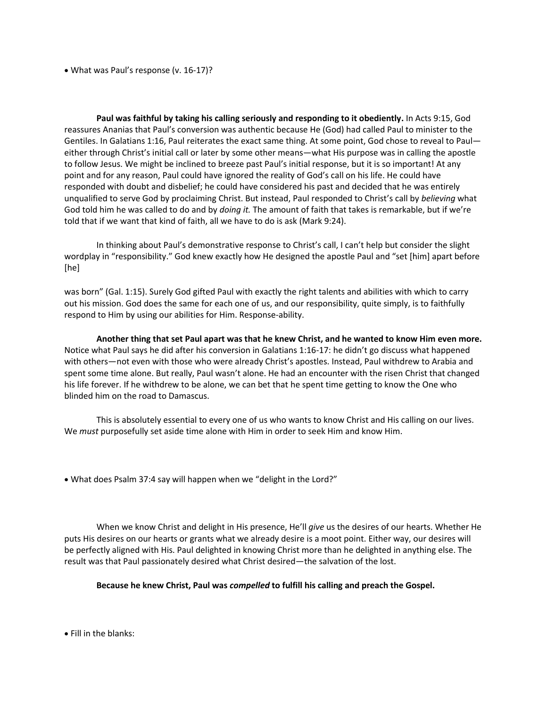• What was Paul's response (v. 16-17)?

**Paul was faithful by taking his calling seriously and responding to it obediently.** In Acts 9:15, God reassures Ananias that Paul's conversion was authentic because He (God) had called Paul to minister to the Gentiles. In Galatians 1:16, Paul reiterates the exact same thing. At some point, God chose to reveal to Paul either through Christ's initial call or later by some other means—what His purpose was in calling the apostle to follow Jesus. We might be inclined to breeze past Paul's initial response, but it is so important! At any point and for any reason, Paul could have ignored the reality of God's call on his life. He could have responded with doubt and disbelief; he could have considered his past and decided that he was entirely unqualified to serve God by proclaiming Christ. But instead, Paul responded to Christ's call by *believing* what God told him he was called to do and by *doing it.* The amount of faith that takes is remarkable, but if we're told that if we want that kind of faith, all we have to do is ask (Mark 9:24).

In thinking about Paul's demonstrative response to Christ's call, I can't help but consider the slight wordplay in "responsibility." God knew exactly how He designed the apostle Paul and "set [him] apart before [he]

was born" (Gal. 1:15). Surely God gifted Paul with exactly the right talents and abilities with which to carry out his mission. God does the same for each one of us, and our responsibility, quite simply, is to faithfully respond to Him by using our abilities for Him. Response-ability.

**Another thing that set Paul apart was that he knew Christ, and he wanted to know Him even more.** Notice what Paul says he did after his conversion in Galatians 1:16-17: he didn't go discuss what happened with others—not even with those who were already Christ's apostles. Instead, Paul withdrew to Arabia and spent some time alone. But really, Paul wasn't alone. He had an encounter with the risen Christ that changed his life forever. If he withdrew to be alone, we can bet that he spent time getting to know the One who blinded him on the road to Damascus.

This is absolutely essential to every one of us who wants to know Christ and His calling on our lives. We *must* purposefully set aside time alone with Him in order to seek Him and know Him.

• What does Psalm 37:4 say will happen when we "delight in the Lord?"

When we know Christ and delight in His presence, He'll *give* us the desires of our hearts. Whether He puts His desires on our hearts or grants what we already desire is a moot point. Either way, our desires will be perfectly aligned with His. Paul delighted in knowing Christ more than he delighted in anything else. The result was that Paul passionately desired what Christ desired—the salvation of the lost.

**Because he knew Christ, Paul was** *compelled* **to fulfill his calling and preach the Gospel.**

• Fill in the blanks: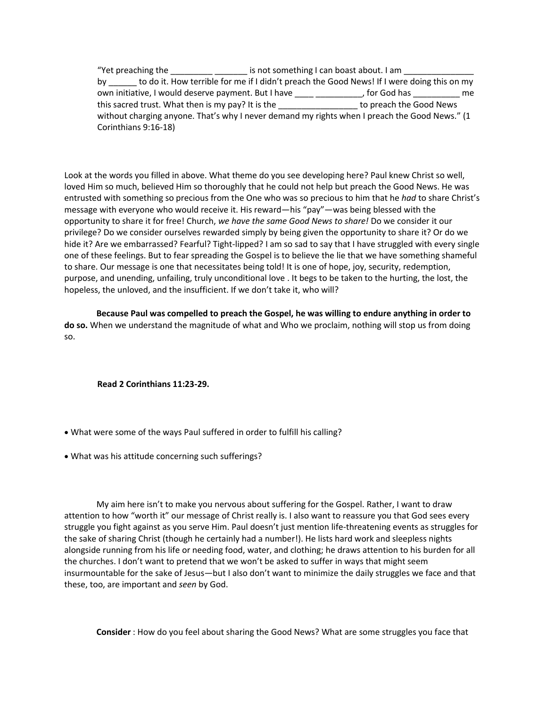"Yet preaching the \_\_\_\_\_\_\_\_\_\_\_\_\_\_\_\_\_\_\_\_ is not something I can boast about. I am \_\_ by to do it. How terrible for me if I didn't preach the Good News! If I were doing this on my own initiative, I would deserve payment. But I have \_\_\_\_\_ \_\_\_\_\_\_\_\_, for God has \_\_\_\_\_\_\_\_\_\_\_ me this sacred trust. What then is my pay? It is the the control to preach the Good News without charging anyone. That's why I never demand my rights when I preach the Good News." (1 Corinthians 9:16-18)

Look at the words you filled in above. What theme do you see developing here? Paul knew Christ so well, loved Him so much, believed Him so thoroughly that he could not help but preach the Good News. He was entrusted with something so precious from the One who was so precious to him that he *had* to share Christ's message with everyone who would receive it. His reward—his "pay"—was being blessed with the opportunity to share it for free! Church, *we have the same Good News to share!* Do we consider it our privilege? Do we consider ourselves rewarded simply by being given the opportunity to share it? Or do we hide it? Are we embarrassed? Fearful? Tight-lipped? I am so sad to say that I have struggled with every single one of these feelings. But to fear spreading the Gospel is to believe the lie that we have something shameful to share. Our message is one that necessitates being told! It is one of hope, joy, security, redemption, purpose, and unending, unfailing, truly unconditional love . It begs to be taken to the hurting, the lost, the hopeless, the unloved, and the insufficient. If we don't take it, who will?

**Because Paul was compelled to preach the Gospel, he was willing to endure anything in order to do so.** When we understand the magnitude of what and Who we proclaim, nothing will stop us from doing so.

**Read 2 Corinthians 11:23-29.**

- What were some of the ways Paul suffered in order to fulfill his calling?
- What was his attitude concerning such sufferings?

My aim here isn't to make you nervous about suffering for the Gospel. Rather, I want to draw attention to how "worth it" our message of Christ really is. I also want to reassure you that God sees every struggle you fight against as you serve Him. Paul doesn't just mention life-threatening events as struggles for the sake of sharing Christ (though he certainly had a number!). He lists hard work and sleepless nights alongside running from his life or needing food, water, and clothing; he draws attention to his burden for all the churches. I don't want to pretend that we won't be asked to suffer in ways that might seem insurmountable for the sake of Jesus—but I also don't want to minimize the daily struggles we face and that these, too, are important and *seen* by God.

**Consider** : How do you feel about sharing the Good News? What are some struggles you face that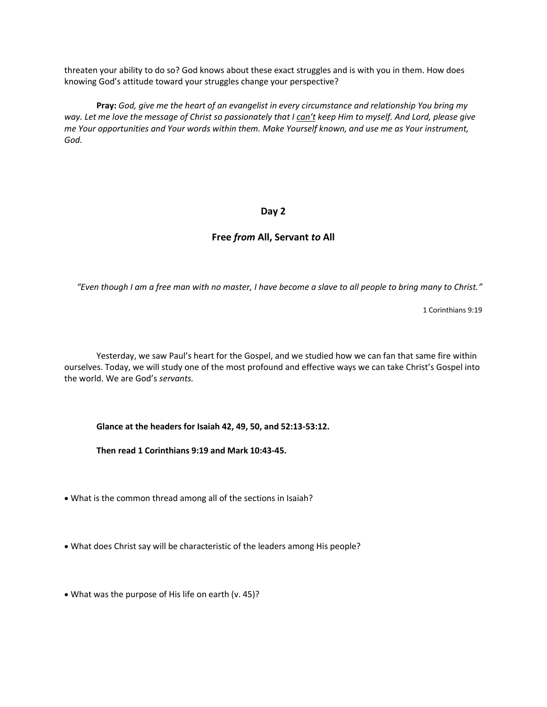threaten your ability to do so? God knows about these exact struggles and is with you in them. How does knowing God's attitude toward your struggles change your perspective?

**Pray:** *God, give me the heart of an evangelist in every circumstance and relationship You bring my way. Let me love the message of Christ so passionately that I can't keep Him to myself. And Lord, please give me Your opportunities and Your words within them. Make Yourself known, and use me as Your instrument, God.*

#### **Day 2**

#### **Free** *from* **All, Servant** *to* **All**

*"Even though I am a free man with no master, I have become a slave to all people to bring many to Christ."*

1 Corinthians 9:19

Yesterday, we saw Paul's heart for the Gospel, and we studied how we can fan that same fire within ourselves. Today, we will study one of the most profound and effective ways we can take Christ's Gospel into the world. We are God's *servants.* 

**Glance at the headers for Isaiah 42, 49, 50, and 52:13-53:12.**

**Then read 1 Corinthians 9:19 and Mark 10:43-45.**

- What is the common thread among all of the sections in Isaiah?
- What does Christ say will be characteristic of the leaders among His people?
- What was the purpose of His life on earth (v. 45)?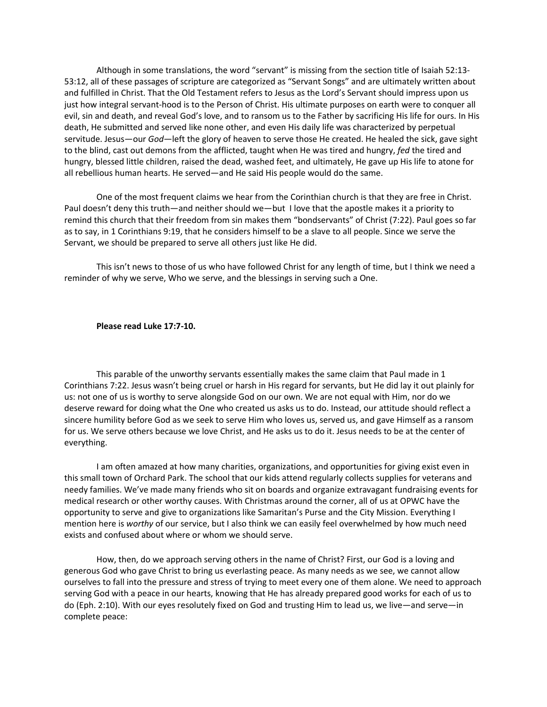Although in some translations, the word "servant" is missing from the section title of Isaiah 52:13- 53:12, all of these passages of scripture are categorized as "Servant Songs" and are ultimately written about and fulfilled in Christ. That the Old Testament refers to Jesus as the Lord's Servant should impress upon us just how integral servant-hood is to the Person of Christ. His ultimate purposes on earth were to conquer all evil, sin and death, and reveal God's love, and to ransom us to the Father by sacrificing His life for ours. In His death, He submitted and served like none other, and even His daily life was characterized by perpetual servitude. Jesus—our *God*—left the glory of heaven to serve those He created. He healed the sick, gave sight to the blind, cast out demons from the afflicted, taught when He was tired and hungry, *fed* the tired and hungry, blessed little children, raised the dead, washed feet, and ultimately, He gave up His life to atone for all rebellious human hearts. He served—and He said His people would do the same.

One of the most frequent claims we hear from the Corinthian church is that they are free in Christ. Paul doesn't deny this truth—and neither should we—but I love that the apostle makes it a priority to remind this church that their freedom from sin makes them "bondservants" of Christ (7:22). Paul goes so far as to say, in 1 Corinthians 9:19, that he considers himself to be a slave to all people. Since we serve the Servant, we should be prepared to serve all others just like He did.

This isn't news to those of us who have followed Christ for any length of time, but I think we need a reminder of why we serve, Who we serve, and the blessings in serving such a One.

#### **Please read Luke 17:7-10.**

This parable of the unworthy servants essentially makes the same claim that Paul made in 1 Corinthians 7:22. Jesus wasn't being cruel or harsh in His regard for servants, but He did lay it out plainly for us: not one of us is worthy to serve alongside God on our own. We are not equal with Him, nor do we deserve reward for doing what the One who created us asks us to do. Instead, our attitude should reflect a sincere humility before God as we seek to serve Him who loves us, served us, and gave Himself as a ransom for us. We serve others because we love Christ, and He asks us to do it. Jesus needs to be at the center of everything.

I am often amazed at how many charities, organizations, and opportunities for giving exist even in this small town of Orchard Park. The school that our kids attend regularly collects supplies for veterans and needy families. We've made many friends who sit on boards and organize extravagant fundraising events for medical research or other worthy causes. With Christmas around the corner, all of us at OPWC have the opportunity to serve and give to organizations like Samaritan's Purse and the City Mission. Everything I mention here is *worthy* of our service, but I also think we can easily feel overwhelmed by how much need exists and confused about where or whom we should serve.

How, then, do we approach serving others in the name of Christ? First, our God is a loving and generous God who gave Christ to bring us everlasting peace. As many needs as we see, we cannot allow ourselves to fall into the pressure and stress of trying to meet every one of them alone. We need to approach serving God with a peace in our hearts, knowing that He has already prepared good works for each of us to do (Eph. 2:10). With our eyes resolutely fixed on God and trusting Him to lead us, we live—and serve—in complete peace: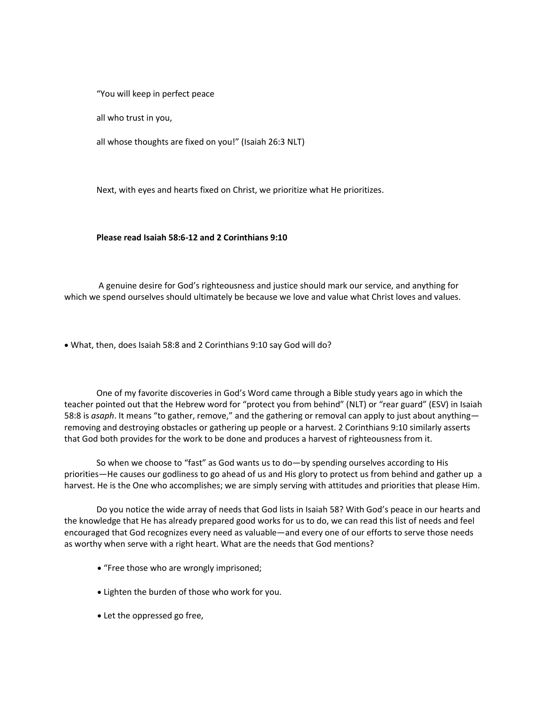"You will keep in perfect peace

all who trust in you,

all whose thoughts are fixed on you!" (Isaiah 26:3 NLT)

Next, with eyes and hearts fixed on Christ, we prioritize what He prioritizes.

#### **Please read Isaiah 58:6-12 and 2 Corinthians 9:10**

A genuine desire for God's righteousness and justice should mark our service, and anything for which we spend ourselves should ultimately be because we love and value what Christ loves and values.

• What, then, does Isaiah 58:8 and 2 Corinthians 9:10 say God will do?

One of my favorite discoveries in God's Word came through a Bible study years ago in which the teacher pointed out that the Hebrew word for "protect you from behind" (NLT) or "rear guard" (ESV) in Isaiah 58:8 is *asaph*. It means "to gather, remove," and the gathering or removal can apply to just about anything removing and destroying obstacles or gathering up people or a harvest. 2 Corinthians 9:10 similarly asserts that God both provides for the work to be done and produces a harvest of righteousness from it.

So when we choose to "fast" as God wants us to do—by spending ourselves according to His priorities—He causes our godliness to go ahead of us and His glory to protect us from behind and gather up a harvest. He is the One who accomplishes; we are simply serving with attitudes and priorities that please Him.

Do you notice the wide array of needs that God lists in Isaiah 58? With God's peace in our hearts and the knowledge that He has already prepared good works for us to do, we can read this list of needs and feel encouraged that God recognizes every need as valuable—and every one of our efforts to serve those needs as worthy when serve with a right heart. What are the needs that God mentions?

- "Free those who are wrongly imprisoned;
- Lighten the burden of those who work for you.
- Let the oppressed go free,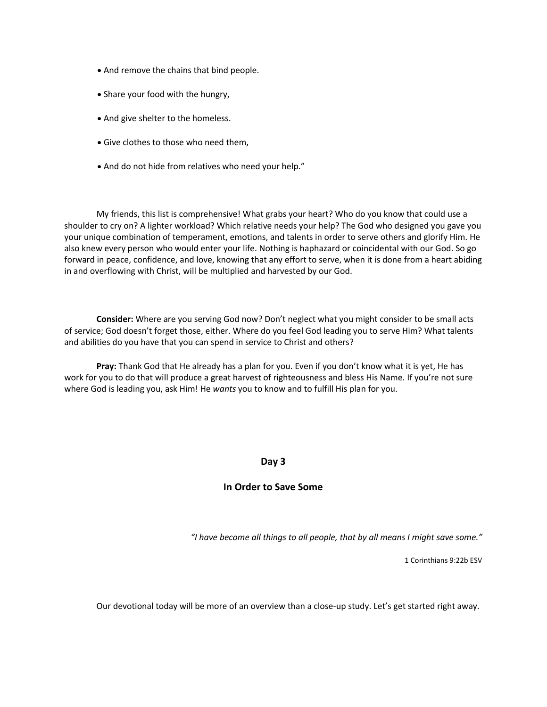- And remove the chains that bind people.
- Share your food with the hungry,
- And give shelter to the homeless.
- Give clothes to those who need them,
- And do not hide from relatives who need your help."

My friends, this list is comprehensive! What grabs your heart? Who do you know that could use a shoulder to cry on? A lighter workload? Which relative needs your help? The God who designed you gave you your unique combination of temperament, emotions, and talents in order to serve others and glorify Him. He also knew every person who would enter your life. Nothing is haphazard or coincidental with our God. So go forward in peace, confidence, and love, knowing that any effort to serve, when it is done from a heart abiding in and overflowing with Christ, will be multiplied and harvested by our God.

**Consider:** Where are you serving God now? Don't neglect what you might consider to be small acts of service; God doesn't forget those, either. Where do you feel God leading you to serve Him? What talents and abilities do you have that you can spend in service to Christ and others?

**Pray:** Thank God that He already has a plan for you. Even if you don't know what it is yet, He has work for you to do that will produce a great harvest of righteousness and bless His Name. If you're not sure where God is leading you, ask Him! He *wants* you to know and to fulfill His plan for you.

#### **Day 3**

#### **In Order to Save Some**

*"I have become all things to all people, that by all means I might save some."*

1 Corinthians 9:22b ESV

Our devotional today will be more of an overview than a close-up study. Let's get started right away.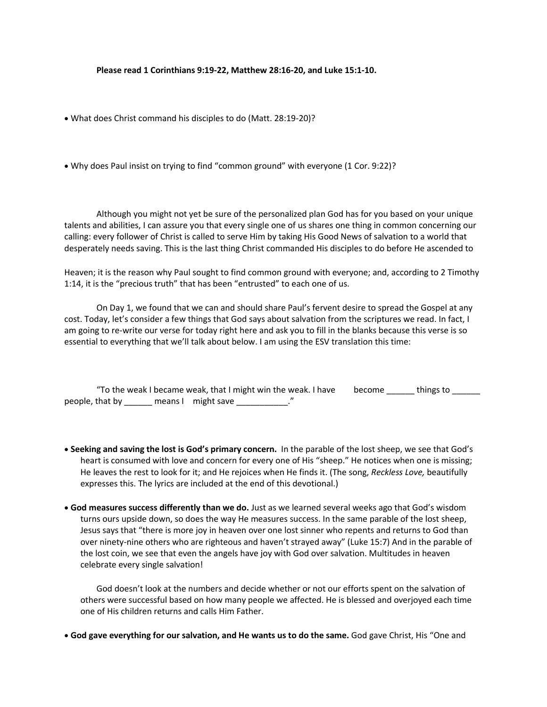**Please read 1 Corinthians 9:19-22, Matthew 28:16-20, and Luke 15:1-10.**

- What does Christ command his disciples to do (Matt. 28:19-20)?
- Why does Paul insist on trying to find "common ground" with everyone (1 Cor. 9:22)?

Although you might not yet be sure of the personalized plan God has for you based on your unique talents and abilities, I can assure you that every single one of us shares one thing in common concerning our calling: every follower of Christ is called to serve Him by taking His Good News of salvation to a world that desperately needs saving. This is the last thing Christ commanded His disciples to do before He ascended to

Heaven; it is the reason why Paul sought to find common ground with everyone; and, according to 2 Timothy 1:14, it is the "precious truth" that has been "entrusted" to each one of us.

On Day 1, we found that we can and should share Paul's fervent desire to spread the Gospel at any cost. Today, let's consider a few things that God says about salvation from the scriptures we read. In fact, I am going to re-write our verse for today right here and ask you to fill in the blanks because this verse is so essential to everything that we'll talk about below. I am using the ESV translation this time:

|                 | "To the weak I became weak, that I might win the weak. I have | become | things to |
|-----------------|---------------------------------------------------------------|--------|-----------|
| people, that by | means I might save                                            |        |           |

- **Seeking and saving the lost is God's primary concern.** In the parable of the lost sheep, we see that God's heart is consumed with love and concern for every one of His "sheep." He notices when one is missing; He leaves the rest to look for it; and He rejoices when He finds it. (The song, *Reckless Love,* beautifully expresses this. The lyrics are included at the end of this devotional.)
- **God measures success differently than we do.** Just as we learned several weeks ago that God's wisdom turns ours upside down, so does the way He measures success. In the same parable of the lost sheep, Jesus says that "there is more joy in heaven over one lost sinner who repents and returns to God than over ninety-nine others who are righteous and haven't strayed away" (Luke 15:7) And in the parable of the lost coin, we see that even the angels have joy with God over salvation. Multitudes in heaven celebrate every single salvation!

God doesn't look at the numbers and decide whether or not our efforts spent on the salvation of others were successful based on how many people we affected. He is blessed and overjoyed each time one of His children returns and calls Him Father.

• **God gave everything for our salvation, and He wants us to do the same.** God gave Christ, His "One and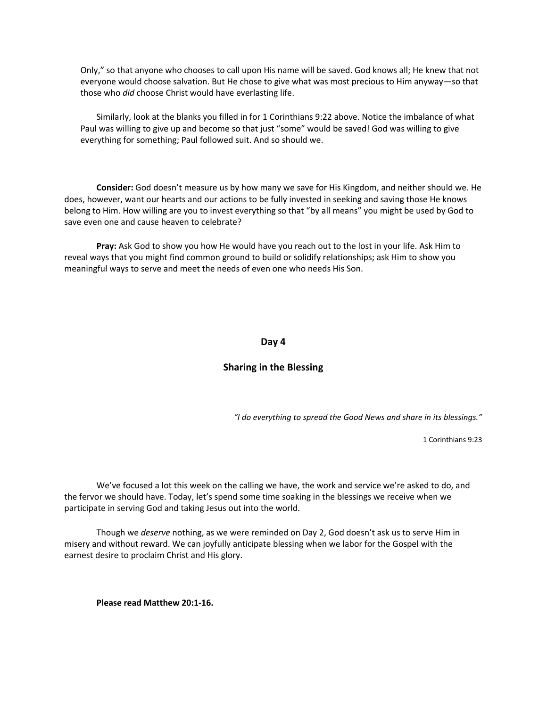Only," so that anyone who chooses to call upon His name will be saved. God knows all; He knew that not everyone would choose salvation. But He chose to give what was most precious to Him anyway—so that those who *did* choose Christ would have everlasting life.

Similarly, look at the blanks you filled in for 1 Corinthians 9:22 above. Notice the imbalance of what Paul was willing to give up and become so that just "some" would be saved! God was willing to give everything for something; Paul followed suit. And so should we.

**Consider:** God doesn't measure us by how many we save for His Kingdom, and neither should we. He does, however, want our hearts and our actions to be fully invested in seeking and saving those He knows belong to Him. How willing are you to invest everything so that "by all means" you might be used by God to save even one and cause heaven to celebrate?

**Pray:** Ask God to show you how He would have you reach out to the lost in your life. Ask Him to reveal ways that you might find common ground to build or solidify relationships; ask Him to show you meaningful ways to serve and meet the needs of even one who needs His Son.

#### **Day 4**

#### **Sharing in the Blessing**

*"I do everything to spread the Good News and share in its blessings."*

1 Corinthians 9:23

We've focused a lot this week on the calling we have, the work and service we're asked to do, and the fervor we should have. Today, let's spend some time soaking in the blessings we receive when we participate in serving God and taking Jesus out into the world.

Though we *deserve* nothing, as we were reminded on Day 2, God doesn't ask us to serve Him in misery and without reward. We can joyfully anticipate blessing when we labor for the Gospel with the earnest desire to proclaim Christ and His glory.

**Please read Matthew 20:1-16.**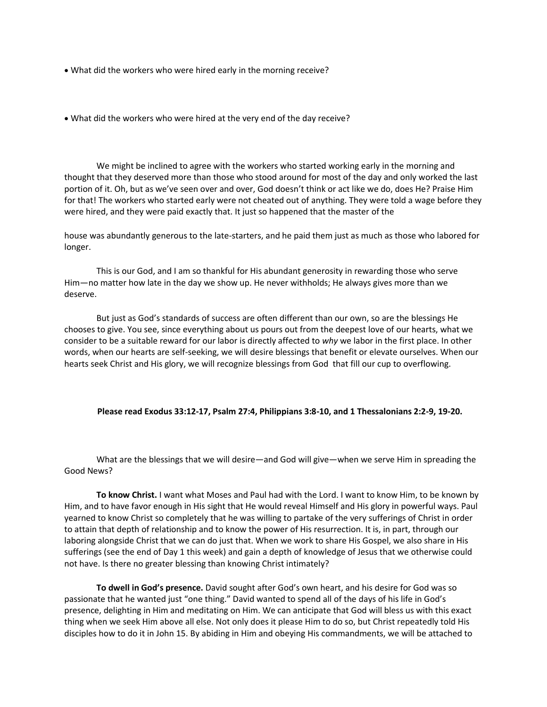• What did the workers who were hired early in the morning receive?

• What did the workers who were hired at the very end of the day receive?

We might be inclined to agree with the workers who started working early in the morning and thought that they deserved more than those who stood around for most of the day and only worked the last portion of it. Oh, but as we've seen over and over, God doesn't think or act like we do, does He? Praise Him for that! The workers who started early were not cheated out of anything. They were told a wage before they were hired, and they were paid exactly that. It just so happened that the master of the

house was abundantly generous to the late-starters, and he paid them just as much as those who labored for longer.

This is our God, and I am so thankful for His abundant generosity in rewarding those who serve Him—no matter how late in the day we show up. He never withholds; He always gives more than we deserve.

But just as God's standards of success are often different than our own, so are the blessings He chooses to give. You see, since everything about us pours out from the deepest love of our hearts, what we consider to be a suitable reward for our labor is directly affected to *why* we labor in the first place. In other words, when our hearts are self-seeking, we will desire blessings that benefit or elevate ourselves. When our hearts seek Christ and His glory, we will recognize blessings from God that fill our cup to overflowing.

#### **Please read Exodus 33:12-17, Psalm 27:4, Philippians 3:8-10, and 1 Thessalonians 2:2-9, 19-20.**

What are the blessings that we will desire—and God will give—when we serve Him in spreading the Good News?

**To know Christ.** I want what Moses and Paul had with the Lord. I want to know Him, to be known by Him, and to have favor enough in His sight that He would reveal Himself and His glory in powerful ways. Paul yearned to know Christ so completely that he was willing to partake of the very sufferings of Christ in order to attain that depth of relationship and to know the power of His resurrection. It is, in part, through our laboring alongside Christ that we can do just that. When we work to share His Gospel, we also share in His sufferings (see the end of Day 1 this week) and gain a depth of knowledge of Jesus that we otherwise could not have. Is there no greater blessing than knowing Christ intimately?

**To dwell in God's presence.** David sought after God's own heart, and his desire for God was so passionate that he wanted just "one thing." David wanted to spend all of the days of his life in God's presence, delighting in Him and meditating on Him. We can anticipate that God will bless us with this exact thing when we seek Him above all else. Not only does it please Him to do so, but Christ repeatedly told His disciples how to do it in John 15. By abiding in Him and obeying His commandments, we will be attached to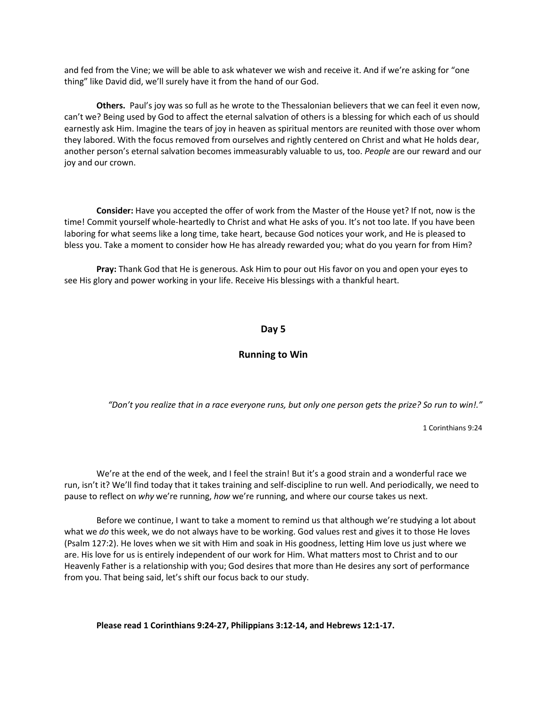and fed from the Vine; we will be able to ask whatever we wish and receive it. And if we're asking for "one thing" like David did, we'll surely have it from the hand of our God.

**Others.** Paul's joy was so full as he wrote to the Thessalonian believers that we can feel it even now, can't we? Being used by God to affect the eternal salvation of others is a blessing for which each of us should earnestly ask Him. Imagine the tears of joy in heaven as spiritual mentors are reunited with those over whom they labored. With the focus removed from ourselves and rightly centered on Christ and what He holds dear, another person's eternal salvation becomes immeasurably valuable to us, too. *People* are our reward and our joy and our crown.

**Consider:** Have you accepted the offer of work from the Master of the House yet? If not, now is the time! Commit yourself whole-heartedly to Christ and what He asks of you. It's not too late. If you have been laboring for what seems like a long time, take heart, because God notices your work, and He is pleased to bless you. Take a moment to consider how He has already rewarded you; what do you yearn for from Him?

**Pray:** Thank God that He is generous. Ask Him to pour out His favor on you and open your eyes to see His glory and power working in your life. Receive His blessings with a thankful heart.

#### **Day 5**

#### **Running to Win**

*"Don't you realize that in a race everyone runs, but only one person gets the prize? So run to win!."*

1 Corinthians 9:24

We're at the end of the week, and I feel the strain! But it's a good strain and a wonderful race we run, isn't it? We'll find today that it takes training and self-discipline to run well. And periodically, we need to pause to reflect on *why* we're running, *how* we're running, and where our course takes us next.

Before we continue, I want to take a moment to remind us that although we're studying a lot about what we *do* this week, we do not always have to be working. God values rest and gives it to those He loves (Psalm 127:2). He loves when we sit with Him and soak in His goodness, letting Him love us just where we are. His love for us is entirely independent of our work for Him. What matters most to Christ and to our Heavenly Father is a relationship with you; God desires that more than He desires any sort of performance from you. That being said, let's shift our focus back to our study.

**Please read 1 Corinthians 9:24-27, Philippians 3:12-14, and Hebrews 12:1-17.**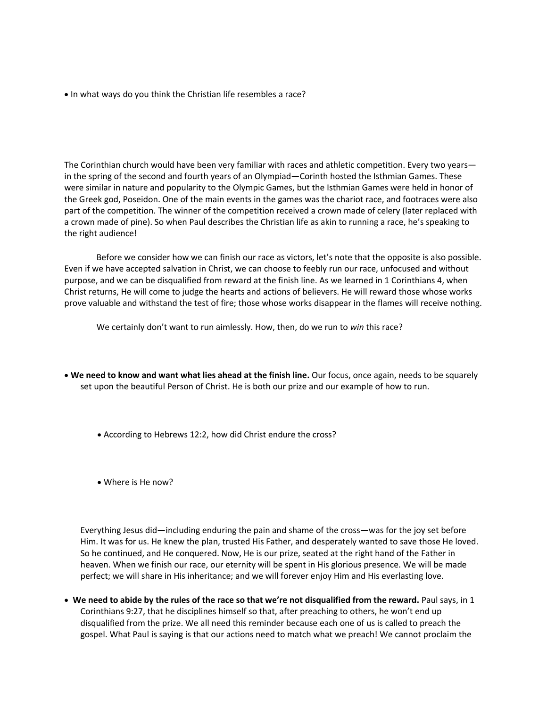• In what ways do you think the Christian life resembles a race?

The Corinthian church would have been very familiar with races and athletic competition. Every two years in the spring of the second and fourth years of an Olympiad—Corinth hosted the Isthmian Games. These were similar in nature and popularity to the Olympic Games, but the Isthmian Games were held in honor of the Greek god, Poseidon. One of the main events in the games was the chariot race, and footraces were also part of the competition. The winner of the competition received a crown made of celery (later replaced with a crown made of pine). So when Paul describes the Christian life as akin to running a race, he's speaking to the right audience!

Before we consider how we can finish our race as victors, let's note that the opposite is also possible. Even if we have accepted salvation in Christ, we can choose to feebly run our race, unfocused and without purpose, and we can be disqualified from reward at the finish line. As we learned in 1 Corinthians 4, when Christ returns, He will come to judge the hearts and actions of believers. He will reward those whose works prove valuable and withstand the test of fire; those whose works disappear in the flames will receive nothing.

We certainly don't want to run aimlessly. How, then, do we run to *win* this race?

- **We need to know and want what lies ahead at the finish line.** Our focus, once again, needs to be squarely set upon the beautiful Person of Christ. He is both our prize and our example of how to run.
	- According to Hebrews 12:2, how did Christ endure the cross?
	- Where is He now?

Everything Jesus did—including enduring the pain and shame of the cross—was for the joy set before Him. It was for us. He knew the plan, trusted His Father, and desperately wanted to save those He loved. So he continued, and He conquered. Now, He is our prize, seated at the right hand of the Father in heaven. When we finish our race, our eternity will be spent in His glorious presence. We will be made perfect; we will share in His inheritance; and we will forever enjoy Him and His everlasting love.

• **We need to abide by the rules of the race so that we're not disqualified from the reward.** Paul says, in 1 Corinthians 9:27, that he disciplines himself so that, after preaching to others, he won't end up disqualified from the prize. We all need this reminder because each one of us is called to preach the gospel. What Paul is saying is that our actions need to match what we preach! We cannot proclaim the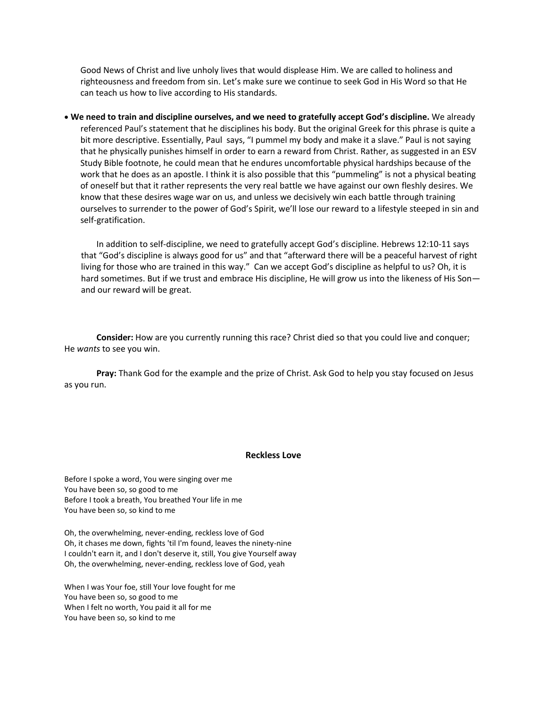Good News of Christ and live unholy lives that would displease Him. We are called to holiness and righteousness and freedom from sin. Let's make sure we continue to seek God in His Word so that He can teach us how to live according to His standards.

• **We need to train and discipline ourselves, and we need to gratefully accept God's discipline.** We already referenced Paul's statement that he disciplines his body. But the original Greek for this phrase is quite a bit more descriptive. Essentially, Paul says, "I pummel my body and make it a slave." Paul is not saying that he physically punishes himself in order to earn a reward from Christ. Rather, as suggested in an ESV Study Bible footnote, he could mean that he endures uncomfortable physical hardships because of the work that he does as an apostle. I think it is also possible that this "pummeling" is not a physical beating of oneself but that it rather represents the very real battle we have against our own fleshly desires. We know that these desires wage war on us, and unless we decisively win each battle through training ourselves to surrender to the power of God's Spirit, we'll lose our reward to a lifestyle steeped in sin and self-gratification.

In addition to self-discipline, we need to gratefully accept God's discipline. Hebrews 12:10-11 says that "God's discipline is always good for us" and that "afterward there will be a peaceful harvest of right living for those who are trained in this way." Can we accept God's discipline as helpful to us? Oh, it is hard sometimes. But if we trust and embrace His discipline, He will grow us into the likeness of His Sonand our reward will be great.

**Consider:** How are you currently running this race? Christ died so that you could live and conquer; He *wants* to see you win.

**Pray:** Thank God for the example and the prize of Christ. Ask God to help you stay focused on Jesus as you run.

#### **Reckless Love**

Before I spoke a word, You were singing over me You have been so, so good to me Before I took a breath, You breathed Your life in me You have been so, so kind to me

Oh, the overwhelming, never-ending, reckless love of God Oh, it chases me down, fights 'til I'm found, leaves the ninety-nine I couldn't earn it, and I don't deserve it, still, You give Yourself away Oh, the overwhelming, never-ending, reckless love of God, yeah

When I was Your foe, still Your love fought for me You have been so, so good to me When I felt no worth, You paid it all for me You have been so, so kind to me